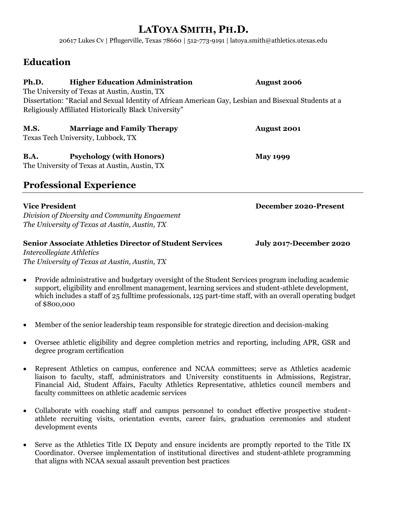# **LATOYA SMITH, PH.D.**

20617 Lukes Cv | Pflugerville, Texas 78660 | 512-773-9191 | latoya.smith@athletics.utexas.edu

## **Education**

| Ph.D.                                                                                                 | <b>Higher Education Administration</b>                | <b>August 2006</b>    |
|-------------------------------------------------------------------------------------------------------|-------------------------------------------------------|-----------------------|
|                                                                                                       | The University of Texas at Austin, Austin, TX         |                       |
| Dissertation: "Racial and Sexual Identity of African American Gay, Lesbian and Bisexual Students at a |                                                       |                       |
|                                                                                                       | Religiously Affiliated Historically Black University" |                       |
| <b>M.S.</b>                                                                                           | <b>Marriage and Family Therapy</b>                    | <b>August 2001</b>    |
|                                                                                                       | Texas Tech University, Lubbock, TX                    |                       |
| <b>B.A.</b>                                                                                           | <b>Psychology (with Honors)</b>                       | <b>May 1999</b>       |
|                                                                                                       | The University of Texas at Austin, Austin, TX         |                       |
|                                                                                                       | <b>Professional Experience</b>                        |                       |
| <b>Vice President</b>                                                                                 |                                                       | December 2020-Present |
|                                                                                                       | Division of Diversity and Community Engaement         |                       |
|                                                                                                       | The University of Texas at Austin, Austin, TX         |                       |

## **Senior Associate Athletics Director of Student Services July 2017-December 2020** *Intercollegiate Athletics The University of Texas at Austin, Austin, TX*

- Provide administrative and budgetary oversight of the Student Services program including academic support, eligibility and enrollment management, learning services and student-athlete development, which includes a staff of 25 fulltime professionals, 125 part-time staff, with an overall operating budget of \$800,000
- Member of the senior leadership team responsible for strategic direction and decision-making
- Oversee athletic eligibility and degree completion metrics and reporting, including APR, GSR and degree program certification
- Represent Athletics on campus, conference and NCAA committees; serve as Athletics academic liaison to faculty, staff, administrators and University constituents in Admissions, Registrar, Financial Aid, Student Affairs, Faculty Athletics Representative, athletics council members and faculty committees on athletic academic services
- Collaborate with coaching staff and campus personnel to conduct effective prospective studentathlete recruiting visits, orientation events, career fairs, graduation ceremonies and student development events
- Serve as the Athletics Title IX Deputy and ensure incidents are promptly reported to the Title IX Coordinator. Oversee implementation of institutional directives and student-athlete programming that aligns with NCAA sexual assault prevention best practices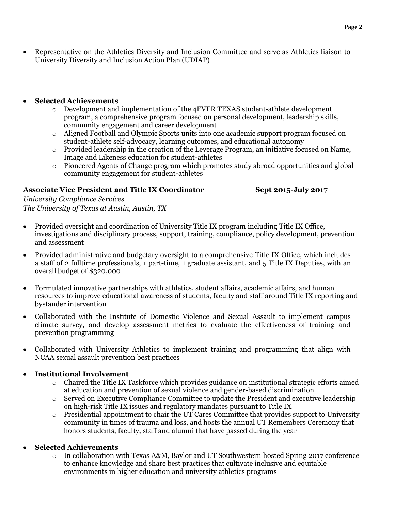• Representative on the Athletics Diversity and Inclusion Committee and serve as Athletics liaison to University Diversity and Inclusion Action Plan (UDIAP)

#### • **Selected Achievements**

- o Development and implementation of the 4EVER TEXAS student-athlete development program, a comprehensive program focused on personal development, leadership skills, community engagement and career development
- o Aligned Football and Olympic Sports units into one academic support program focused on student-athlete self-advocacy, learning outcomes, and educational autonomy
- o Provided leadership in the creation of the Leverage Program, an initiative focused on Name, Image and Likeness education for student-athletes
- o Pioneered Agents of Change program which promotes study abroad opportunities and global community engagement for student-athletes

#### **Associate Vice President and Title IX Coordinator Sept 2015-July 2017**

*University Compliance Services The University of Texas at Austin, Austin, TX*

- Provided oversight and coordination of University Title IX program including Title IX Office, investigations and disciplinary process, support, training, compliance, policy development, prevention and assessment
- Provided administrative and budgetary oversight to a comprehensive Title IX Office, which includes a staff of 2 fulltime professionals, 1 part-time, 1 graduate assistant, and 5 Title IX Deputies, with an overall budget of \$320,000
- Formulated innovative partnerships with athletics, student affairs, academic affairs, and human resources to improve educational awareness of students, faculty and staff around Title IX reporting and bystander intervention
- Collaborated with the Institute of Domestic Violence and Sexual Assault to implement campus climate survey, and develop assessment metrics to evaluate the effectiveness of training and prevention programming
- Collaborated with University Athletics to implement training and programming that align with NCAA sexual assault prevention best practices

#### • **Institutional Involvement**

- $\circ$  Chaired the Title IX Taskforce which provides guidance on institutional strategic efforts aimed at education and prevention of sexual violence and gender-based discrimination
- o Served on Executive Compliance Committee to update the President and executive leadership on high-risk Title IX issues and regulatory mandates pursuant to Title IX
- $\circ$  Presidential appointment to chair the UT Cares Committee that provides support to University community in times of trauma and loss, and hosts the annual UT Remembers Ceremony that honors students, faculty, staff and alumni that have passed during the year

### • **Selected Achievements**

 $\circ$  In collaboration with Texas A&M, Baylor and UT Southwestern hosted Spring 2017 conference to enhance knowledge and share best practices that cultivate inclusive and equitable environments in higher education and university athletics programs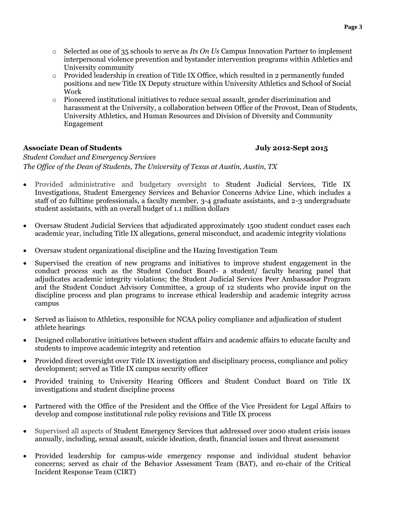- o Selected as one of 35 schools to serve as *Its On Us* Campus Innovation Partner to implement interpersonal violence prevention and bystander intervention programs within Athletics and University community
- o Provided leadership in creation of Title IX Office, which resulted in 2 permanently funded positions and new Title IX Deputy structure within University Athletics and School of Social Work
- o Pioneered institutional initiatives to reduce sexual assault, gender discrimination and harassment at the University, a collaboration between Office of the Provost, Dean of Students, University Athletics, and Human Resources and Division of Diversity and Community Engagement

### **Associate Dean of Students July 2012-Sept 2015**

*Student Conduct and Emergency Services The Office of the Dean of Students, The University of Texas at Austin, Austin, TX*

- Provided administrative and budgetary oversight to Student Judicial Services, Title IX Investigations, Student Emergency Services and Behavior Concerns Advice Line, which includes a staff of 20 fulltime professionals, a faculty member, 3-4 graduate assistants, and 2-3 undergraduate student assistants, with an overall budget of 1.1 million dollars
- Oversaw Student Judicial Services that adjudicated approximately 1500 student conduct cases each academic year, including Title IX allegations, general misconduct, and academic integrity violations
- Oversaw student organizational discipline and the Hazing Investigation Team
- Supervised the creation of new programs and initiatives to improve student engagement in the conduct process such as the Student Conduct Board- a student/ faculty hearing panel that adjudicates academic integrity violations; the Student Judicial Services Peer Ambassador Program and the Student Conduct Advisory Committee, a group of 12 students who provide input on the discipline process and plan programs to increase ethical leadership and academic integrity across campus
- Served as liaison to Athletics, responsible for NCAA policy compliance and adjudication of student athlete hearings
- Designed collaborative initiatives between student affairs and academic affairs to educate faculty and students to improve academic integrity and retention
- Provided direct oversight over Title IX investigation and disciplinary process, compliance and policy development; served as Title IX campus security officer
- Provided training to University Hearing Officers and Student Conduct Board on Title IX investigations and student discipline process
- Partnered with the Office of the President and the Office of the Vice President for Legal Affairs to develop and compose institutional rule policy revisions and Title IX process
- Supervised all aspects of Student Emergency Services that addressed over 2000 student crisis issues annually, including, sexual assault, suicide ideation, death, financial issues and threat assessment
- Provided leadership for campus-wide emergency response and individual student behavior concerns; served as chair of the Behavior Assessment Team (BAT), and co-chair of the Critical Incident Response Team (CIRT)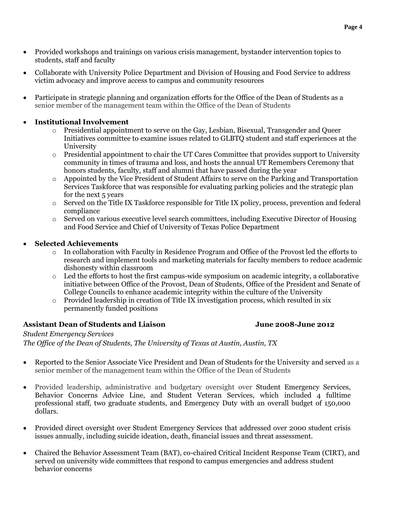- Provided workshops and trainings on various crisis management, bystander intervention topics to students, staff and faculty
- Collaborate with University Police Department and Division of Housing and Food Service to address victim advocacy and improve access to campus and community resources
- Participate in strategic planning and organization efforts for the Office of the Dean of Students as a senior member of the management team within the Office of the Dean of Students

### • **Institutional Involvement**

- o Presidential appointment to serve on the Gay, Lesbian, Bisexual, Transgender and Queer Initiatives committee to examine issues related to GLBTQ student and staff experiences at the University
- $\circ$  Presidential appointment to chair the UT Cares Committee that provides support to University community in times of trauma and loss, and hosts the annual UT Remembers Ceremony that honors students, faculty, staff and alumni that have passed during the year
- $\circ$  Appointed by the Vice President of Student Affairs to serve on the Parking and Transportation Services Taskforce that was responsible for evaluating parking policies and the strategic plan for the next 5 years
- o Served on the Title IX Taskforce responsible for Title IX policy, process, prevention and federal compliance
- o Served on various executive level search committees, including Executive Director of Housing and Food Service and Chief of University of Texas Police Department

### • **Selected Achievements**

- o In collaboration with Faculty in Residence Program and Office of the Provost led the efforts to research and implement tools and marketing materials for faculty members to reduce academic dishonesty within classroom
- $\circ$  Led the efforts to host the first campus-wide symposium on academic integrity, a collaborative initiative between Office of the Provost, Dean of Students, Office of the President and Senate of College Councils to enhance academic integrity within the culture of the University
- o Provided leadership in creation of Title IX investigation process, which resulted in six permanently funded positions

### **Assistant Dean of Students and Liaison June 2008-June 2012**

*Student Emergency Services*

*The Office of the Dean of Students, The University of Texas at Austin, Austin, TX*

- Reported to the Senior Associate Vice President and Dean of Students for the University and served as a senior member of the management team within the Office of the Dean of Students
- Provided leadership, administrative and budgetary oversight over Student Emergency Services, Behavior Concerns Advice Line, and Student Veteran Services, which included 4 fulltime professional staff, two graduate students, and Emergency Duty with an overall budget of 150,000 dollars.
- Provided direct oversight over Student Emergency Services that addressed over 2000 student crisis issues annually, including suicide ideation, death, financial issues and threat assessment.
- Chaired the Behavior Assessment Team (BAT), co-chaired Critical Incident Response Team (CIRT), and served on university wide committees that respond to campus emergencies and address student behavior concerns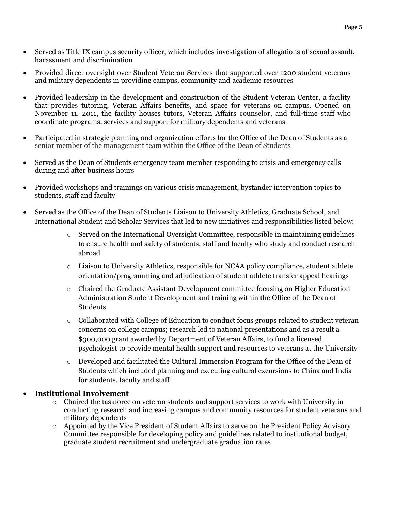- Served as Title IX campus security officer, which includes investigation of allegations of sexual assault, harassment and discrimination
- Provided direct oversight over Student Veteran Services that supported over 1200 student veterans and military dependents in providing campus, community and academic resources
- Provided leadership in the development and construction of the Student Veteran Center, a facility that provides tutoring, Veteran Affairs benefits, and space for veterans on campus. Opened on November 11, 2011, the facility houses tutors, Veteran Affairs counselor, and full-time staff who coordinate programs, services and support for military dependents and veterans
- Participated in strategic planning and organization efforts for the Office of the Dean of Students as a senior member of the management team within the Office of the Dean of Students
- Served as the Dean of Students emergency team member responding to crisis and emergency calls during and after business hours
- Provided workshops and trainings on various crisis management, bystander intervention topics to students, staff and faculty
- Served as the Office of the Dean of Students Liaison to University Athletics, Graduate School, and International Student and Scholar Services that led to new initiatives and responsibilities listed below:
	- $\circ$  Served on the International Oversight Committee, responsible in maintaining guidelines to ensure health and safety of students, staff and faculty who study and conduct research abroad
	- o Liaison to University Athletics, responsible for NCAA policy compliance, student athlete orientation/programming and adjudication of student athlete transfer appeal hearings
	- o Chaired the Graduate Assistant Development committee focusing on Higher Education Administration Student Development and training within the Office of the Dean of Students
	- $\circ$  Collaborated with College of Education to conduct focus groups related to student veteran concerns on college campus; research led to national presentations and as a result a \$300,000 grant awarded by Department of Veteran Affairs, to fund a licensed psychologist to provide mental health support and resources to veterans at the University
	- o Developed and facilitated the Cultural Immersion Program for the Office of the Dean of Students which included planning and executing cultural excursions to China and India for students, faculty and staff

### • **Institutional Involvement**

- o Chaired the taskforce on veteran students and support services to work with University in conducting research and increasing campus and community resources for student veterans and military dependents
- o Appointed by the Vice President of Student Affairs to serve on the President Policy Advisory Committee responsible for developing policy and guidelines related to institutional budget, graduate student recruitment and undergraduate graduation rates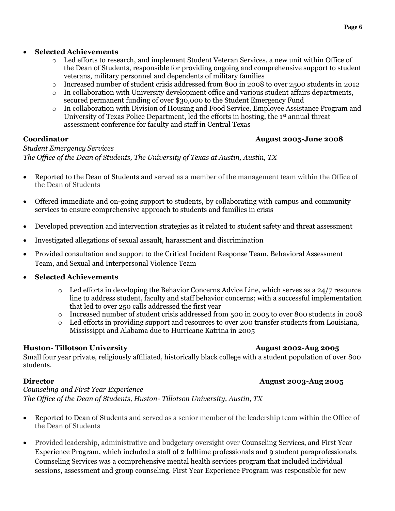- o Led efforts to research, and implement Student Veteran Services, a new unit within Office of the Dean of Students, responsible for providing ongoing and comprehensive support to student veterans, military personnel and dependents of military families
- o Increased number of student crisis addressed from 800 in 2008 to over 2500 students in 2012
- o In collaboration with University development office and various student affairs departments, secured permanent funding of over \$30,000 to the Student Emergency Fund
- o In collaboration with Division of Housing and Food Service, Employee Assistance Program and University of Texas Police Department, led the efforts in hosting, the 1<sup>st</sup> annual threat assessment conference for faculty and staff in Central Texas

### **Coordinator August 2005-June 2008**

*Student Emergency Services The Office of the Dean of Students, The University of Texas at Austin, Austin, TX*

- Reported to the Dean of Students and served as a member of the management team within the Office of the Dean of Students
- Offered immediate and on-going support to students, by collaborating with campus and community services to ensure comprehensive approach to students and families in crisis
- Developed prevention and intervention strategies as it related to student safety and threat assessment
- Investigated allegations of sexual assault, harassment and discrimination
- Provided consultation and support to the Critical Incident Response Team, Behavioral Assessment Team, and Sexual and Interpersonal Violence Team
- **Selected Achievements**
	- $\circ$  Led efforts in developing the Behavior Concerns Advice Line, which serves as a 24/7 resource line to address student, faculty and staff behavior concerns; with a successful implementation that led to over 250 calls addressed the first year
	- o Increased number of student crisis addressed from 500 in 2005 to over 800 students in 2008
	- o Led efforts in providing support and resources to over 200 transfer students from Louisiana, Mississippi and Alabama due to Hurricane Katrina in 2005

### **Huston-** Tillotson University **August 2002-Aug 2005**

Small four year private, religiously affiliated, historically black college with a student population of over 800 students.

**Director August 2003-Aug 2005**

*Counseling and First Year Experience The Office of the Dean of Students, Huston- Tillotson University, Austin, TX*

- Reported to Dean of Students and served as a senior member of the leadership team within the Office of the Dean of Students
- Provided leadership, administrative and budgetary oversight over Counseling Services, and First Year Experience Program, which included a staff of 2 fulltime professionals and 9 student paraprofessionals. Counseling Services was a comprehensive mental health services program that included individual sessions, assessment and group counseling. First Year Experience Program was responsible for new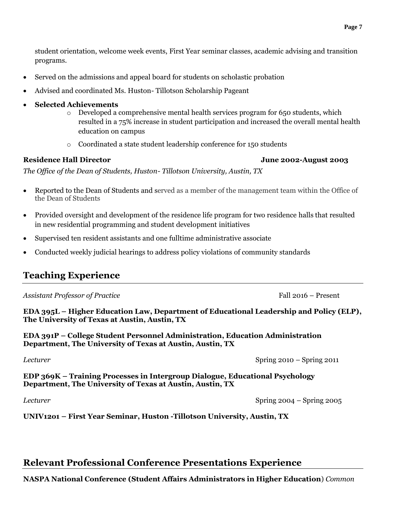student orientation, welcome week events, First Year seminar classes, academic advising and transition programs.

- Served on the admissions and appeal board for students on scholastic probation
- Advised and coordinated Ms. Huston- Tillotson Scholarship Pageant
- **Selected Achievements**
	- $\circ$  Developed a comprehensive mental health services program for 650 students, which resulted in a 75% increase in student participation and increased the overall mental health education on campus
	- o Coordinated a state student leadership conference for 150 students

#### **Residence Hall Director June 2002-August 2003**

*The Office of the Dean of Students, Huston- Tillotson University, Austin, TX*

- Reported to the Dean of Students and served as a member of the management team within the Office of the Dean of Students
- Provided oversight and development of the residence life program for two residence halls that resulted in new residential programming and student development initiatives
- Supervised ten resident assistants and one fulltime administrative associate
- Conducted weekly judicial hearings to address policy violations of community standards

## **Teaching Experience**

Assistant Professor of Practice **Fall 2016** – Present

**EDA 395L – Higher Education Law, Department of Educational Leadership and Policy (ELP), The University of Texas at Austin, Austin, TX**

**EDA 391P – College Student Personnel Administration, Education Administration Department, The University of Texas at Austin, Austin, TX**

**EDP 369K – Training Processes in Intergroup Dialogue, Educational Psychology Department, The University of Texas at Austin, Austin, TX**

*Lecturer* Spring 2004 – Spring 2005

**UNIV12o1 – First Year Seminar, Huston -Tillotson University, Austin, TX**

## **Relevant Professional Conference Presentations Experience**

**NASPA National Conference (Student Affairs Administrators in Higher Education**) *Common* 

*Lecturer* Spring 2010 – Spring 2011